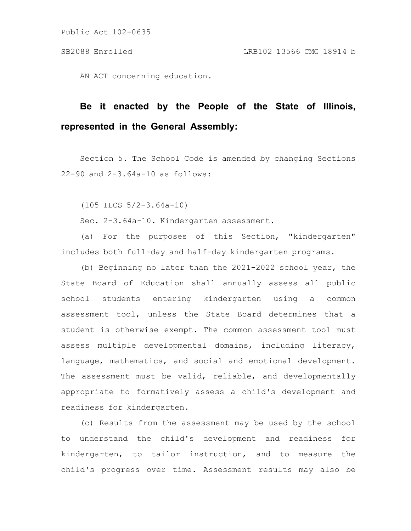AN ACT concerning education.

# **Be it enacted by the People of the State of Illinois, represented in the General Assembly:**

Section 5. The School Code is amended by changing Sections 22-90 and 2-3.64a-10 as follows:

(105 ILCS 5/2-3.64a-10)

Sec. 2-3.64a-10. Kindergarten assessment.

(a) For the purposes of this Section, "kindergarten" includes both full-day and half-day kindergarten programs.

(b) Beginning no later than the 2021-2022 school year, the State Board of Education shall annually assess all public school students entering kindergarten using a common assessment tool, unless the State Board determines that a student is otherwise exempt. The common assessment tool must assess multiple developmental domains, including literacy, language, mathematics, and social and emotional development. The assessment must be valid, reliable, and developmentally appropriate to formatively assess a child's development and readiness for kindergarten.

(c) Results from the assessment may be used by the school to understand the child's development and readiness for kindergarten, to tailor instruction, and to measure the child's progress over time. Assessment results may also be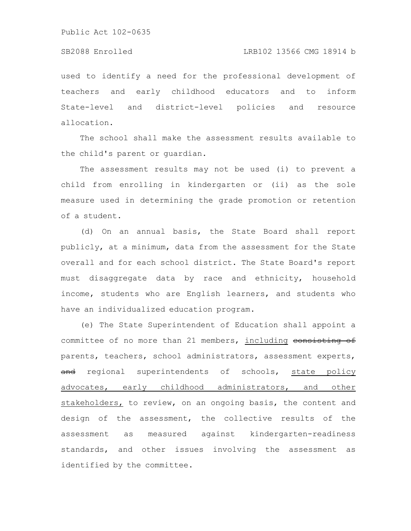#### SB2088 Enrolled LRB102 13566 CMG 18914 b

used to identify a need for the professional development of teachers and early childhood educators and to inform State-level and district-level policies and resource allocation.

The school shall make the assessment results available to the child's parent or guardian.

The assessment results may not be used (i) to prevent a child from enrolling in kindergarten or (ii) as the sole measure used in determining the grade promotion or retention of a student.

(d) On an annual basis, the State Board shall report publicly, at a minimum, data from the assessment for the State overall and for each school district. The State Board's report must disaggregate data by race and ethnicity, household income, students who are English learners, and students who have an individualized education program.

(e) The State Superintendent of Education shall appoint a committee of no more than 21 members, including consisting of parents, teachers, school administrators, assessment experts, and regional superintendents of schools, state policy advocates, early childhood administrators, and other stakeholders, to review, on an ongoing basis, the content and design of the assessment, the collective results of the assessment as measured against kindergarten-readiness standards, and other issues involving the assessment as identified by the committee.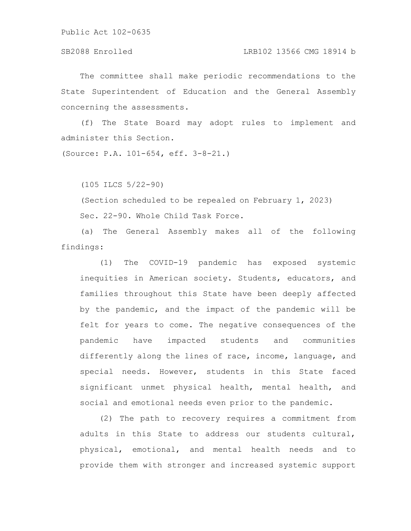### SB2088 Enrolled LRB102 13566 CMG 18914 b

The committee shall make periodic recommendations to the State Superintendent of Education and the General Assembly concerning the assessments.

(f) The State Board may adopt rules to implement and administer this Section.

(Source: P.A. 101-654, eff. 3-8-21.)

(105 ILCS 5/22-90)

(Section scheduled to be repealed on February 1, 2023) Sec. 22-90. Whole Child Task Force.

(a) The General Assembly makes all of the following findings:

(1) The COVID-19 pandemic has exposed systemic inequities in American society. Students, educators, and families throughout this State have been deeply affected by the pandemic, and the impact of the pandemic will be felt for years to come. The negative consequences of the pandemic have impacted students and communities differently along the lines of race, income, language, and special needs. However, students in this State faced significant unmet physical health, mental health, and social and emotional needs even prior to the pandemic.

(2) The path to recovery requires a commitment from adults in this State to address our students cultural, physical, emotional, and mental health needs and to provide them with stronger and increased systemic support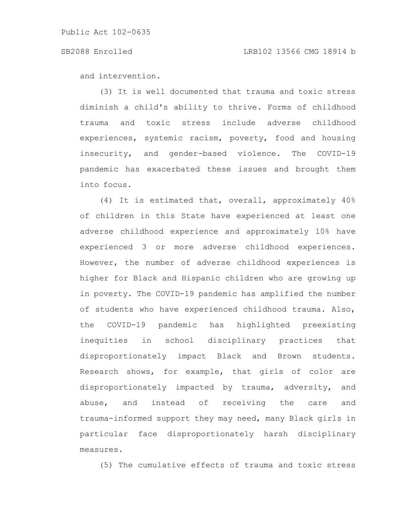### SB2088 Enrolled LRB102 13566 CMG 18914 b

and intervention.

(3) It is well documented that trauma and toxic stress diminish a child's ability to thrive. Forms of childhood trauma and toxic stress include adverse childhood experiences, systemic racism, poverty, food and housing insecurity, and gender-based violence. The COVID-19 pandemic has exacerbated these issues and brought them into focus.

(4) It is estimated that, overall, approximately 40% of children in this State have experienced at least one adverse childhood experience and approximately 10% have experienced 3 or more adverse childhood experiences. However, the number of adverse childhood experiences is higher for Black and Hispanic children who are growing up in poverty. The COVID-19 pandemic has amplified the number of students who have experienced childhood trauma. Also, the COVID-19 pandemic has highlighted preexisting inequities in school disciplinary practices that disproportionately impact Black and Brown students. Research shows, for example, that girls of color are disproportionately impacted by trauma, adversity, and abuse, and instead of receiving the care and trauma-informed support they may need, many Black girls in particular face disproportionately harsh disciplinary measures.

(5) The cumulative effects of trauma and toxic stress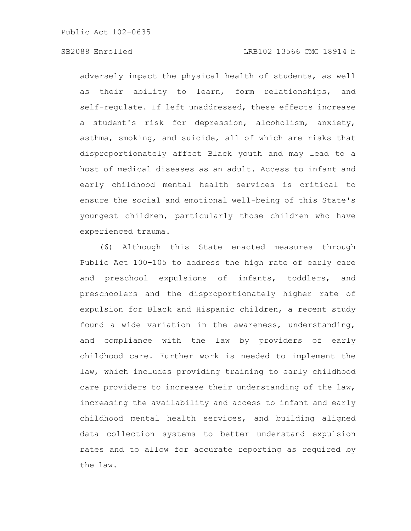adversely impact the physical health of students, as well as their ability to learn, form relationships, and self-regulate. If left unaddressed, these effects increase a student's risk for depression, alcoholism, anxiety, asthma, smoking, and suicide, all of which are risks that disproportionately affect Black youth and may lead to a host of medical diseases as an adult. Access to infant and early childhood mental health services is critical to ensure the social and emotional well-being of this State's youngest children, particularly those children who have experienced trauma.

(6) Although this State enacted measures through Public Act 100-105 to address the high rate of early care and preschool expulsions of infants, toddlers, and preschoolers and the disproportionately higher rate of expulsion for Black and Hispanic children, a recent study found a wide variation in the awareness, understanding, and compliance with the law by providers of early childhood care. Further work is needed to implement the law, which includes providing training to early childhood care providers to increase their understanding of the law, increasing the availability and access to infant and early childhood mental health services, and building aligned data collection systems to better understand expulsion rates and to allow for accurate reporting as required by the law.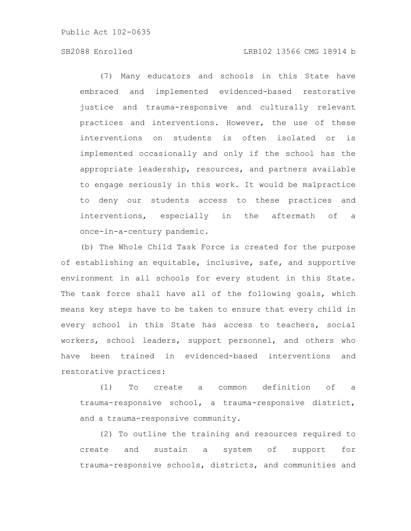### SB2088 Enrolled LRB102 13566 CMG 18914 b

(7) Many educators and schools in this State have embraced and implemented evidenced-based restorative justice and trauma-responsive and culturally relevant practices and interventions. However, the use of these interventions on students is often isolated or is implemented occasionally and only if the school has the appropriate leadership, resources, and partners available to engage seriously in this work. It would be malpractice to deny our students access to these practices and interventions, especially in the aftermath of a once-in-a-century pandemic.

(b) The Whole Child Task Force is created for the purpose of establishing an equitable, inclusive, safe, and supportive environment in all schools for every student in this State. The task force shall have all of the following goals, which means key steps have to be taken to ensure that every child in every school in this State has access to teachers, social workers, school leaders, support personnel, and others who have been trained in evidenced-based interventions and restorative practices:

(1) To create a common definition of a trauma-responsive school, a trauma-responsive district, and a trauma-responsive community.

(2) To outline the training and resources required to create and sustain a system of support for trauma-responsive schools, districts, and communities and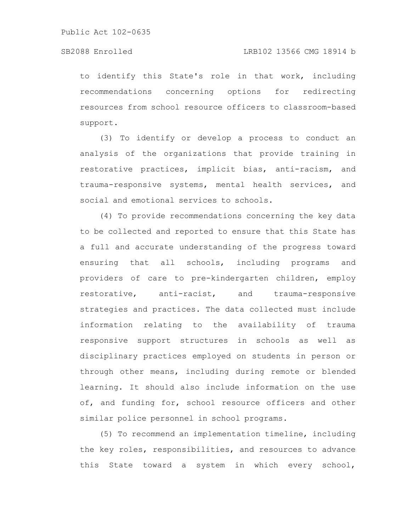to identify this State's role in that work, including recommendations concerning options for redirecting resources from school resource officers to classroom-based support.

(3) To identify or develop a process to conduct an analysis of the organizations that provide training in restorative practices, implicit bias, anti-racism, and trauma-responsive systems, mental health services, and social and emotional services to schools.

(4) To provide recommendations concerning the key data to be collected and reported to ensure that this State has a full and accurate understanding of the progress toward ensuring that all schools, including programs and providers of care to pre-kindergarten children, employ restorative, anti-racist, and trauma-responsive strategies and practices. The data collected must include information relating to the availability of trauma responsive support structures in schools as well as disciplinary practices employed on students in person or through other means, including during remote or blended learning. It should also include information on the use of, and funding for, school resource officers and other similar police personnel in school programs.

(5) To recommend an implementation timeline, including the key roles, responsibilities, and resources to advance this State toward a system in which every school,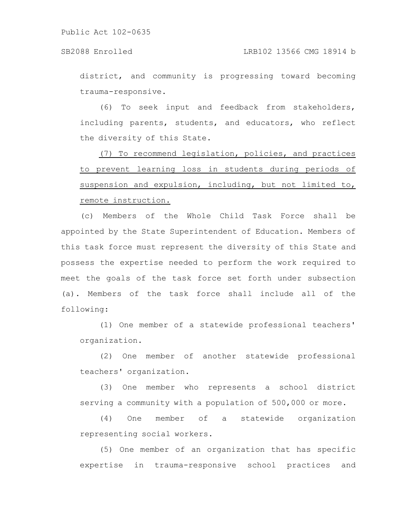district, and community is progressing toward becoming trauma-responsive.

(6) To seek input and feedback from stakeholders, including parents, students, and educators, who reflect the diversity of this State.

(7) To recommend legislation, policies, and practices to prevent learning loss in students during periods of suspension and expulsion, including, but not limited to, remote instruction.

(c) Members of the Whole Child Task Force shall be appointed by the State Superintendent of Education. Members of this task force must represent the diversity of this State and possess the expertise needed to perform the work required to meet the goals of the task force set forth under subsection (a). Members of the task force shall include all of the following:

(1) One member of a statewide professional teachers' organization.

(2) One member of another statewide professional teachers' organization.

(3) One member who represents a school district serving a community with a population of 500,000 or more.

(4) One member of a statewide organization representing social workers.

(5) One member of an organization that has specific expertise in trauma-responsive school practices and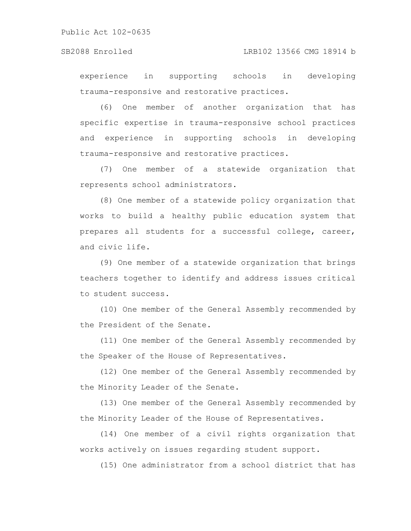### SB2088 Enrolled LRB102 13566 CMG 18914 b

experience in supporting schools in developing trauma-responsive and restorative practices.

(6) One member of another organization that has specific expertise in trauma-responsive school practices and experience in supporting schools in developing trauma-responsive and restorative practices.

(7) One member of a statewide organization that represents school administrators.

(8) One member of a statewide policy organization that works to build a healthy public education system that prepares all students for a successful college, career, and civic life.

(9) One member of a statewide organization that brings teachers together to identify and address issues critical to student success.

(10) One member of the General Assembly recommended by the President of the Senate.

(11) One member of the General Assembly recommended by the Speaker of the House of Representatives.

(12) One member of the General Assembly recommended by the Minority Leader of the Senate.

(13) One member of the General Assembly recommended by the Minority Leader of the House of Representatives.

(14) One member of a civil rights organization that works actively on issues regarding student support.

(15) One administrator from a school district that has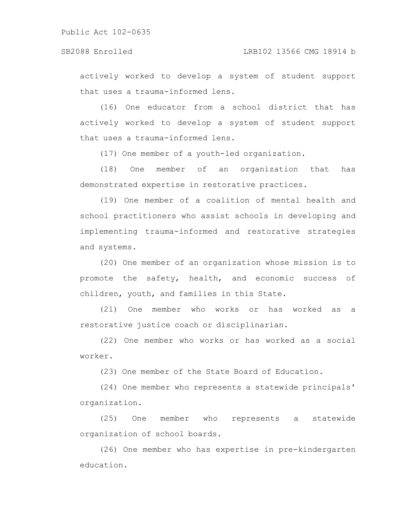actively worked to develop a system of student support that uses a trauma-informed lens.

(16) One educator from a school district that has actively worked to develop a system of student support that uses a trauma-informed lens.

(17) One member of a youth-led organization.

(18) One member of an organization that has demonstrated expertise in restorative practices.

(19) One member of a coalition of mental health and school practitioners who assist schools in developing and implementing trauma-informed and restorative strategies and systems.

(20) One member of an organization whose mission is to promote the safety, health, and economic success of children, youth, and families in this State.

(21) One member who works or has worked as a restorative justice coach or disciplinarian.

(22) One member who works or has worked as a social worker.

(23) One member of the State Board of Education.

(24) One member who represents a statewide principals' organization.

(25) One member who represents a statewide organization of school boards.

(26) One member who has expertise in pre-kindergarten education.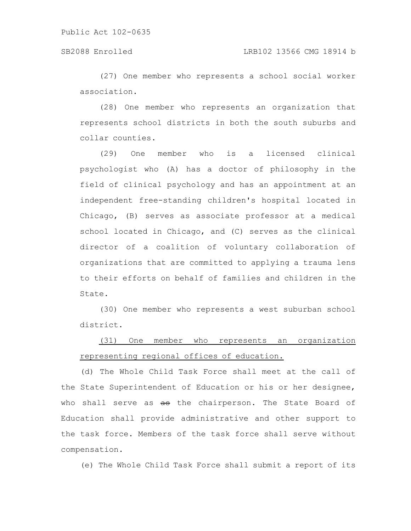(27) One member who represents a school social worker association.

(28) One member who represents an organization that represents school districts in both the south suburbs and collar counties.

(29) One member who is a licensed clinical psychologist who (A) has a doctor of philosophy in the field of clinical psychology and has an appointment at an independent free-standing children's hospital located in Chicago, (B) serves as associate professor at a medical school located in Chicago, and (C) serves as the clinical director of a coalition of voluntary collaboration of organizations that are committed to applying a trauma lens to their efforts on behalf of families and children in the State.

(30) One member who represents a west suburban school district.

## (31) One member who represents an organization representing regional offices of education.

(d) The Whole Child Task Force shall meet at the call of the State Superintendent of Education or his or her designee, who shall serve as as the chairperson. The State Board of Education shall provide administrative and other support to the task force. Members of the task force shall serve without compensation.

(e) The Whole Child Task Force shall submit a report of its